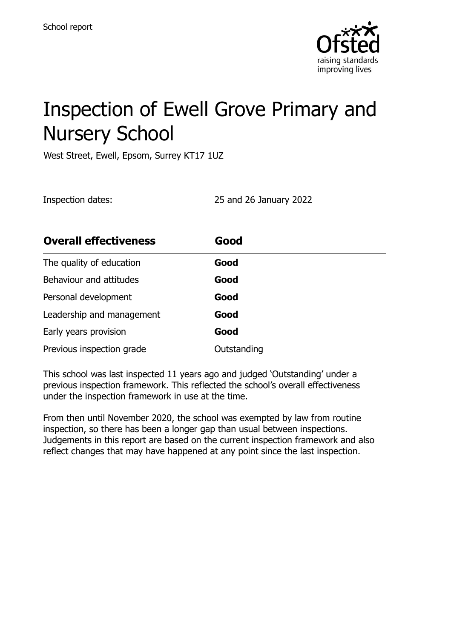

# Inspection of Ewell Grove Primary and Nursery School

West Street, Ewell, Epsom, Surrey KT17 1UZ

Inspection dates: 25 and 26 January 2022

| <b>Overall effectiveness</b> | Good        |
|------------------------------|-------------|
| The quality of education     | Good        |
| Behaviour and attitudes      | Good        |
| Personal development         | Good        |
| Leadership and management    | Good        |
| Early years provision        | Good        |
| Previous inspection grade    | Outstanding |

This school was last inspected 11 years ago and judged 'Outstanding' under a previous inspection framework. This reflected the school's overall effectiveness under the inspection framework in use at the time.

From then until November 2020, the school was exempted by law from routine inspection, so there has been a longer gap than usual between inspections. Judgements in this report are based on the current inspection framework and also reflect changes that may have happened at any point since the last inspection.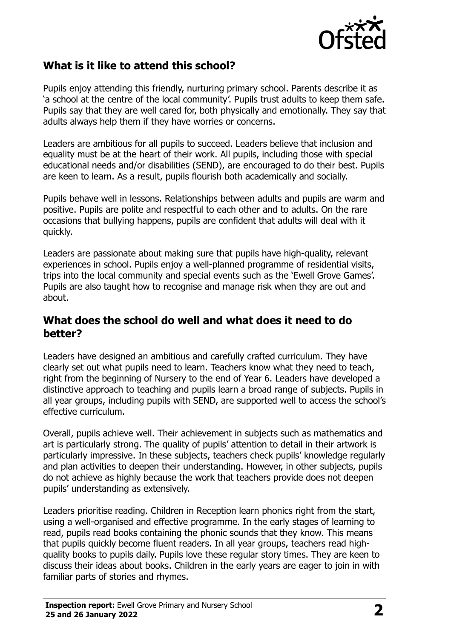

## **What is it like to attend this school?**

Pupils enjoy attending this friendly, nurturing primary school. Parents describe it as 'a school at the centre of the local community'. Pupils trust adults to keep them safe. Pupils say that they are well cared for, both physically and emotionally. They say that adults always help them if they have worries or concerns.

Leaders are ambitious for all pupils to succeed. Leaders believe that inclusion and equality must be at the heart of their work. All pupils, including those with special educational needs and/or disabilities (SEND), are encouraged to do their best. Pupils are keen to learn. As a result, pupils flourish both academically and socially.

Pupils behave well in lessons. Relationships between adults and pupils are warm and positive. Pupils are polite and respectful to each other and to adults. On the rare occasions that bullying happens, pupils are confident that adults will deal with it quickly.

Leaders are passionate about making sure that pupils have high-quality, relevant experiences in school. Pupils enjoy a well-planned programme of residential visits, trips into the local community and special events such as the 'Ewell Grove Games'. Pupils are also taught how to recognise and manage risk when they are out and about.

#### **What does the school do well and what does it need to do better?**

Leaders have designed an ambitious and carefully crafted curriculum. They have clearly set out what pupils need to learn. Teachers know what they need to teach, right from the beginning of Nursery to the end of Year 6. Leaders have developed a distinctive approach to teaching and pupils learn a broad range of subjects. Pupils in all year groups, including pupils with SEND, are supported well to access the school's effective curriculum.

Overall, pupils achieve well. Their achievement in subjects such as mathematics and art is particularly strong. The quality of pupils' attention to detail in their artwork is particularly impressive. In these subjects, teachers check pupils' knowledge regularly and plan activities to deepen their understanding. However, in other subjects, pupils do not achieve as highly because the work that teachers provide does not deepen pupils' understanding as extensively.

Leaders prioritise reading. Children in Reception learn phonics right from the start, using a well-organised and effective programme. In the early stages of learning to read, pupils read books containing the phonic sounds that they know. This means that pupils quickly become fluent readers. In all year groups, teachers read highquality books to pupils daily. Pupils love these regular story times. They are keen to discuss their ideas about books. Children in the early years are eager to join in with familiar parts of stories and rhymes.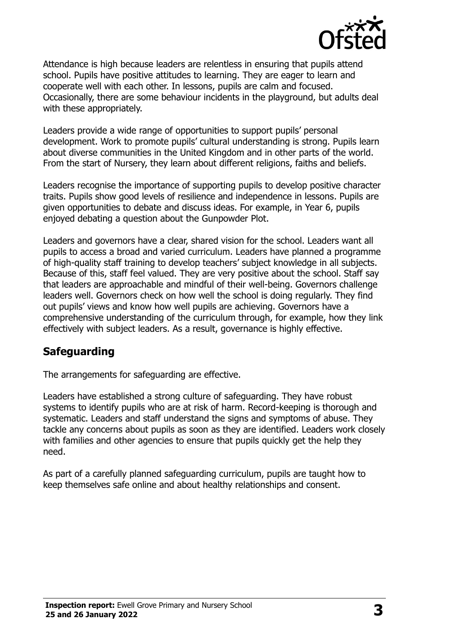

Attendance is high because leaders are relentless in ensuring that pupils attend school. Pupils have positive attitudes to learning. They are eager to learn and cooperate well with each other. In lessons, pupils are calm and focused. Occasionally, there are some behaviour incidents in the playground, but adults deal with these appropriately.

Leaders provide a wide range of opportunities to support pupils' personal development. Work to promote pupils' cultural understanding is strong. Pupils learn about diverse communities in the United Kingdom and in other parts of the world. From the start of Nursery, they learn about different religions, faiths and beliefs.

Leaders recognise the importance of supporting pupils to develop positive character traits. Pupils show good levels of resilience and independence in lessons. Pupils are given opportunities to debate and discuss ideas. For example, in Year 6, pupils enjoyed debating a question about the Gunpowder Plot.

Leaders and governors have a clear, shared vision for the school. Leaders want all pupils to access a broad and varied curriculum. Leaders have planned a programme of high-quality staff training to develop teachers' subject knowledge in all subjects. Because of this, staff feel valued. They are very positive about the school. Staff say that leaders are approachable and mindful of their well-being. Governors challenge leaders well. Governors check on how well the school is doing regularly. They find out pupils' views and know how well pupils are achieving. Governors have a comprehensive understanding of the curriculum through, for example, how they link effectively with subject leaders. As a result, governance is highly effective.

### **Safeguarding**

The arrangements for safeguarding are effective.

Leaders have established a strong culture of safeguarding. They have robust systems to identify pupils who are at risk of harm. Record-keeping is thorough and systematic. Leaders and staff understand the signs and symptoms of abuse. They tackle any concerns about pupils as soon as they are identified. Leaders work closely with families and other agencies to ensure that pupils quickly get the help they need.

As part of a carefully planned safeguarding curriculum, pupils are taught how to keep themselves safe online and about healthy relationships and consent.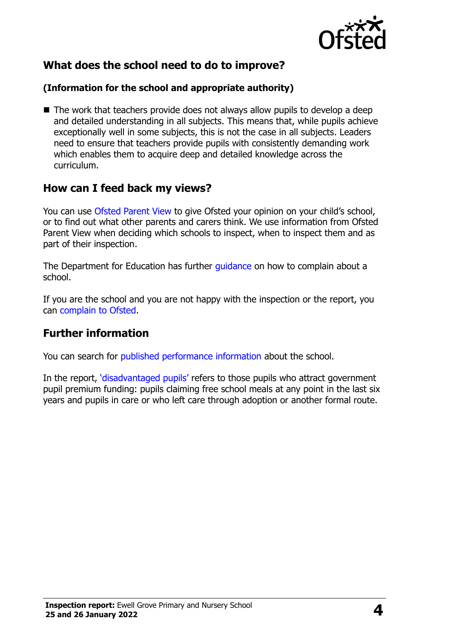

# **What does the school need to do to improve?**

#### **(Information for the school and appropriate authority)**

■ The work that teachers provide does not always allow pupils to develop a deep and detailed understanding in all subjects. This means that, while pupils achieve exceptionally well in some subjects, this is not the case in all subjects. Leaders need to ensure that teachers provide pupils with consistently demanding work which enables them to acquire deep and detailed knowledge across the curriculum.

### **How can I feed back my views?**

You can use [Ofsted Parent View](http://parentview.ofsted.gov.uk/) to give Ofsted your opinion on your child's school, or to find out what other parents and carers think. We use information from Ofsted Parent View when deciding which schools to inspect, when to inspect them and as part of their inspection.

The Department for Education has further quidance on how to complain about a school.

If you are the school and you are not happy with the inspection or the report, you can [complain to Ofsted.](http://www.gov.uk/complain-ofsted-report)

#### **Further information**

You can search for [published performance information](http://www.compare-school-performance.service.gov.uk/) about the school.

In the report, '[disadvantaged pupils](http://www.gov.uk/guidance/pupil-premium-information-for-schools-and-alternative-provision-settings)' refers to those pupils who attract government pupil premium funding: pupils claiming free school meals at any point in the last six years and pupils in care or who left care through adoption or another formal route.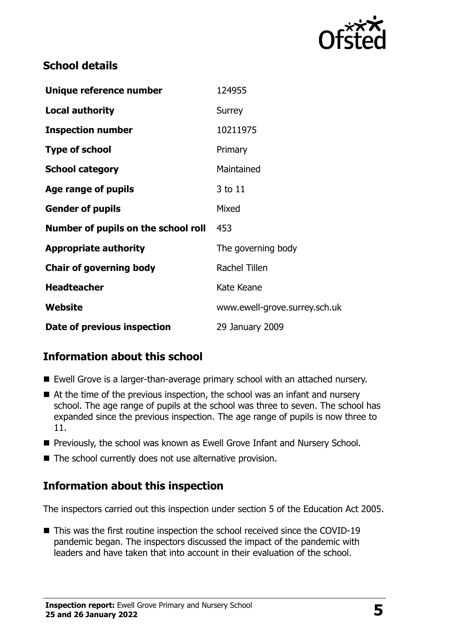

# **School details**

| Unique reference number             | 124955                        |
|-------------------------------------|-------------------------------|
| <b>Local authority</b>              | Surrey                        |
| <b>Inspection number</b>            | 10211975                      |
| <b>Type of school</b>               | Primary                       |
| <b>School category</b>              | Maintained                    |
| Age range of pupils                 | 3 to 11                       |
| <b>Gender of pupils</b>             | Mixed                         |
| Number of pupils on the school roll | 453                           |
| <b>Appropriate authority</b>        | The governing body            |
| <b>Chair of governing body</b>      | Rachel Tillen                 |
| <b>Headteacher</b>                  | Kate Keane                    |
| <b>Website</b>                      | www.ewell-grove.surrey.sch.uk |
| Date of previous inspection         | 29 January 2009               |

# **Information about this school**

- Ewell Grove is a larger-than-average primary school with an attached nursery.
- At the time of the previous inspection, the school was an infant and nursery school. The age range of pupils at the school was three to seven. The school has expanded since the previous inspection. The age range of pupils is now three to 11.
- **Previously, the school was known as Ewell Grove Infant and Nursery School.**
- The school currently does not use alternative provision.

# **Information about this inspection**

The inspectors carried out this inspection under section 5 of the Education Act 2005.

■ This was the first routine inspection the school received since the COVID-19 pandemic began. The inspectors discussed the impact of the pandemic with leaders and have taken that into account in their evaluation of the school.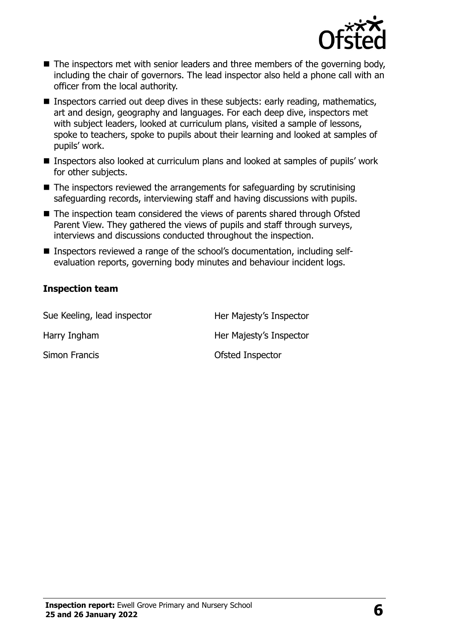

- The inspectors met with senior leaders and three members of the governing body, including the chair of governors. The lead inspector also held a phone call with an officer from the local authority.
- Inspectors carried out deep dives in these subjects: early reading, mathematics, art and design, geography and languages. For each deep dive, inspectors met with subject leaders, looked at curriculum plans, visited a sample of lessons, spoke to teachers, spoke to pupils about their learning and looked at samples of pupils' work.
- Inspectors also looked at curriculum plans and looked at samples of pupils' work for other subjects.
- $\blacksquare$  The inspectors reviewed the arrangements for safeguarding by scrutinising safeguarding records, interviewing staff and having discussions with pupils.
- The inspection team considered the views of parents shared through Ofsted Parent View. They gathered the views of pupils and staff through surveys, interviews and discussions conducted throughout the inspection.
- Inspectors reviewed a range of the school's documentation, including selfevaluation reports, governing body minutes and behaviour incident logs.

#### **Inspection team**

| Sue Keeling, lead inspector | Her Majesty's Inspector |
|-----------------------------|-------------------------|
| Harry Ingham                | Her Majesty's Inspector |
| Simon Francis               | Ofsted Inspector        |